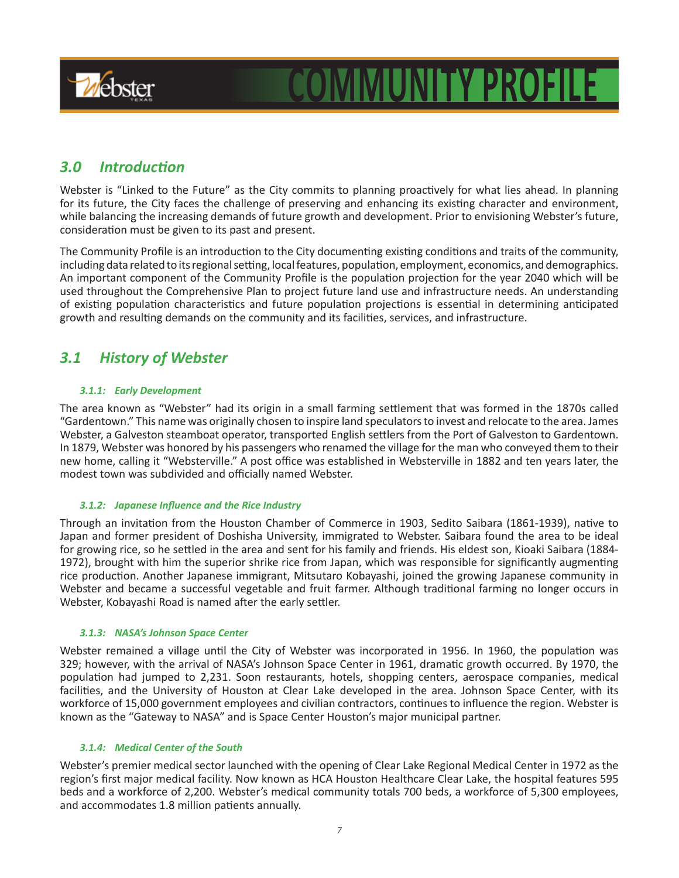

# **COMMUNITY PROFILE**

# *3.0 Introduction*

Webster is "Linked to the Future" as the City commits to planning proactively for what lies ahead. In planning for its future, the City faces the challenge of preserving and enhancing its existing character and environment, while balancing the increasing demands of future growth and development. Prior to envisioning Webster's future, consideration must be given to its past and present.

The Community Profile is an introduction to the City documenting existing conditions and traits of the community, including data related to its regional setting, local features, population, employment, economics, and demographics. An important component of the Community Profile is the population projection for the year 2040 which will be used throughout the Comprehensive Plan to project future land use and infrastructure needs. An understanding of existing population characteristics and future population projections is essential in determining anticipated growth and resulting demands on the community and its facilities, services, and infrastructure.

# *3.1 History of Webster*

## *3.1.1: Early Development*

The area known as "Webster" had its origin in a small farming settlement that was formed in the 1870s called "Gardentown." This name was originally chosen to inspire land speculators to invest and relocate to the area. James Webster, a Galveston steamboat operator, transported English settlers from the Port of Galveston to Gardentown. In 1879, Webster was honored by his passengers who renamed the village for the man who conveyed them to their new home, calling it "Websterville." A post office was established in Websterville in 1882 and ten years later, the modest town was subdivided and officially named Webster.

## *3.1.2: Japanese Influence and the Rice Industry*

Through an invitation from the Houston Chamber of Commerce in 1903, Sedito Saibara (1861-1939), native to Japan and former president of Doshisha University, immigrated to Webster. Saibara found the area to be ideal for growing rice, so he settled in the area and sent for his family and friends. His eldest son, Kioaki Saibara (1884- 1972), brought with him the superior shrike rice from Japan, which was responsible for significantly augmenting rice production. Another Japanese immigrant, Mitsutaro Kobayashi, joined the growing Japanese community in Webster and became a successful vegetable and fruit farmer. Although traditional farming no longer occurs in Webster, Kobayashi Road is named after the early settler.

## *3.1.3: NASA's Johnson Space Center*

Webster remained a village until the City of Webster was incorporated in 1956. In 1960, the population was 329; however, with the arrival of NASA's Johnson Space Center in 1961, dramatic growth occurred. By 1970, the population had jumped to 2,231. Soon restaurants, hotels, shopping centers, aerospace companies, medical facilities, and the University of Houston at Clear Lake developed in the area. Johnson Space Center, with its workforce of 15,000 government employees and civilian contractors, continues to influence the region. Webster is known as the "Gateway to NASA" and is Space Center Houston's major municipal partner.

## *3.1.4: Medical Center of the South*

Webster's premier medical sector launched with the opening of Clear Lake Regional Medical Center in 1972 as the region's first major medical facility. Now known as HCA Houston Healthcare Clear Lake, the hospital features 595 beds and a workforce of 2,200. Webster's medical community totals 700 beds, a workforce of 5,300 employees, and accommodates 1.8 million patients annually.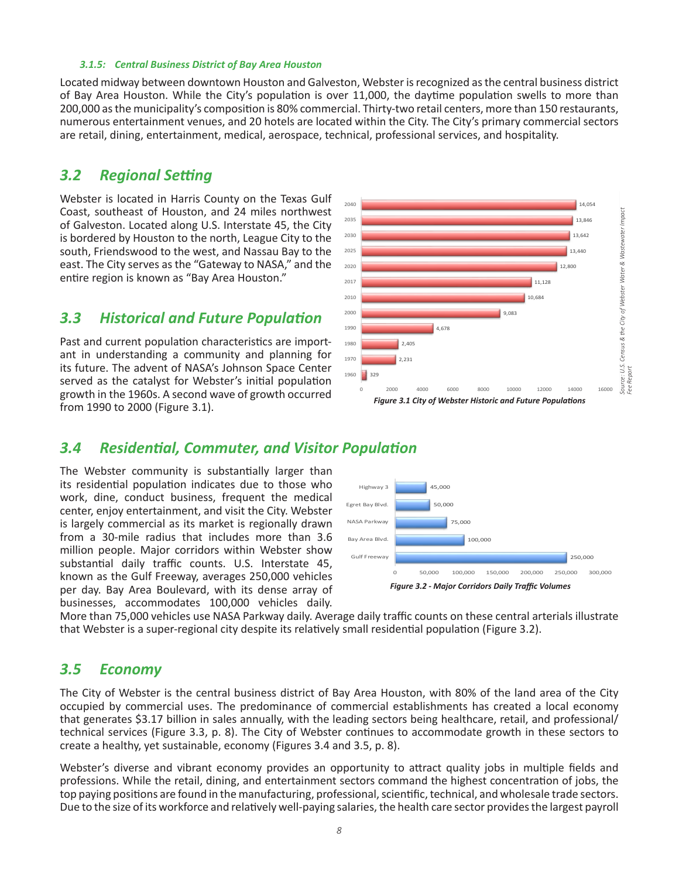#### *3.1.5: Central Business District of Bay Area Houston*

Located midway between downtown Houston and Galveston, Webster is recognized as the central business district of Bay Area Houston. While the City's population is over 11,000, the daytime population swells to more than 200,000 as the municipality's composition is 80% commercial. Thirty-two retail centers, more than 150 restaurants, numerous entertainment venues, and 20 hotels are located within the City. The City's primary commercial sectors are retail, dining, entertainment, medical, aerospace, technical, professional services, and hospitality.

# *3.2 Regional Setting*

Webster is located in Harris County on the Texas Gulf Coast, southeast of Houston, and 24 miles northwest of Galveston. Located along U.S. Interstate 45, the City is bordered by Houston to the north, League City to the south, Friendswood to the west, and Nassau Bay to the east. The City serves as the "Gateway to NASA," and the entire region is known as "Bay Area Houston."

# *3.3 Historical and Future Population*

Past and current population characteristics are important in understanding a community and planning for its future. The advent of NASA's Johnson Space Center served as the catalyst for Webster's initial population growth in the 1960s. A second wave of growth occurred from 1990 to 2000 (Figure 3.1).



# *3.4 Residential, Commuter, and Visitor Population*

The Webster community is substantially larger than its residential population indicates due to those who work, dine, conduct business, frequent the medical center, enjoy entertainment, and visit the City. Webster is largely commercial as its market is regionally drawn from a 30-mile radius that includes more than 3.6 million people. Major corridors within Webster show substantial daily traffic counts. U.S. Interstate 45, known as the Gulf Freeway, averages 250,000 vehicles per day. Bay Area Boulevard, with its dense array of businesses, accommodates 100,000 vehicles daily.



More than 75,000 vehicles use NASA Parkway daily. Average daily traffic counts on these central arterials illustrate that Webster is a super-regional city despite its relatively small residential population (Figure 3.2).

## *3.5 Economy*

The City of Webster is the central business district of Bay Area Houston, with 80% of the land area of the City occupied by commercial uses. The predominance of commercial establishments has created a local economy that generates \$3.17 billion in sales annually, with the leading sectors being healthcare, retail, and professional/ technical services (Figure 3.3, p. 8). The City of Webster continues to accommodate growth in these sectors to create a healthy, yet sustainable, economy (Figures 3.4 and 3.5, p. 8).

Webster's diverse and vibrant economy provides an opportunity to attract quality jobs in multiple fields and professions. While the retail, dining, and entertainment sectors command the highest concentration of jobs, the top paying positions are found in the manufacturing, professional, scientific, technical, and wholesale trade sectors. Due to the size of its workforce and relatively well-paying salaries, the health care sector provides the largest payroll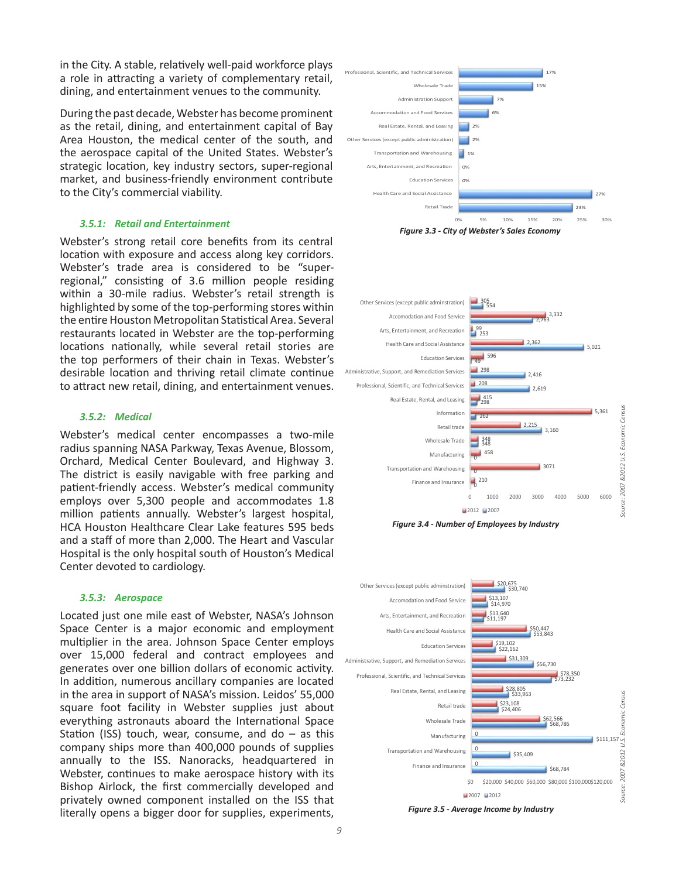in the City. A stable, relatively well-paid workforce plays a role in attracting a variety of complementary retail, dining, and entertainment venues to the community.

During the past decade, Webster has become prominent as the retail, dining, and entertainment capital of Bay Area Houston, the medical center of the south, and the aerospace capital of the United States. Webster's strategic location, key industry sectors, super-regional market, and business-friendly environment contribute to the City's commercial viability.

#### *3.5.1: Retail and Entertainment*

Webster's strong retail core benefits from its central location with exposure and access along key corridors. Webster's trade area is considered to be "superregional," consisting of 3.6 million people residing within a 30-mile radius. Webster's retail strength is highlighted by some of the top-performing stores within the entire Houston Metropolitan Statistical Area. Several restaurants located in Webster are the top-performing locations nationally, while several retail stories are the top performers of their chain in Texas. Webster's desirable location and thriving retail climate continue to attract new retail, dining, and entertainment venues.

#### *3.5.2: Medical*

Webster's medical center encompasses a two-mile radius spanning NASA Parkway, Texas Avenue, Blossom, Orchard, Medical Center Boulevard, and Highway 3. The district is easily navigable with free parking and patient-friendly access. Webster's medical community employs over 5,300 people and accommodates 1.8 million patients annually. Webster's largest hospital, HCA Houston Healthcare Clear Lake features 595 beds and a staff of more than 2,000. The Heart and Vascular Hospital is the only hospital south of Houston's Medical Center devoted to cardiology.

#### *3.5.3: Aerospace*

Located just one mile east of Webster, NASA's Johnson Space Center is a major economic and employment multiplier in the area. Johnson Space Center employs over 15,000 federal and contract employees and generates over one billion dollars of economic activity. In addition, numerous ancillary companies are located in the area in support of NASA's mission. Leidos' 55,000 square foot facility in Webster supplies just about everything astronauts aboard the International Space Station (ISS) touch, wear, consume, and do  $-$  as this company ships more than 400,000 pounds of supplies annually to the ISS. Nanoracks, headquartered in Webster, continues to make aerospace history with its Bishop Airlock, the first commercially developed and privately owned component installed on the ISS that literally opens a bigger door for supplies, experiments,









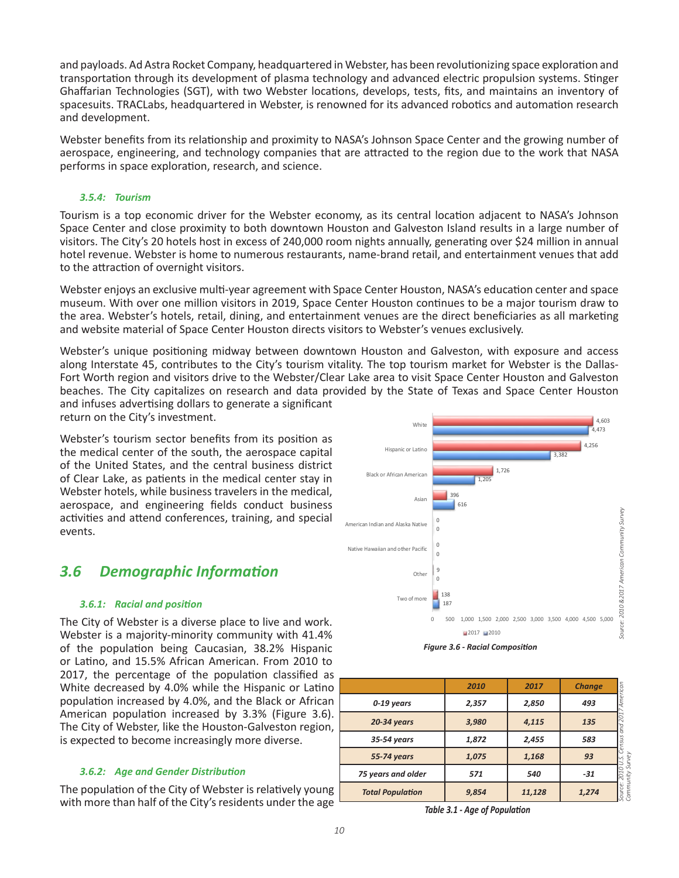and payloads. Ad Astra Rocket Company, headquartered in Webster, has been revolutionizing space exploration and transportation through its development of plasma technology and advanced electric propulsion systems. Stinger Ghaffarian Technologies (SGT), with two Webster locations, develops, tests, fits, and maintains an inventory of spacesuits. TRACLabs, headquartered in Webster, is renowned for its advanced robotics and automation research and development.

Webster benefits from its relationship and proximity to NASA's Johnson Space Center and the growing number of aerospace, engineering, and technology companies that are attracted to the region due to the work that NASA performs in space exploration, research, and science.

## *3.5.4: Tourism*

Tourism is a top economic driver for the Webster economy, as its central location adjacent to NASA's Johnson Space Center and close proximity to both downtown Houston and Galveston Island results in a large number of visitors. The City's 20 hotels host in excess of 240,000 room nights annually, generating over \$24 million in annual hotel revenue. Webster is home to numerous restaurants, name-brand retail, and entertainment venues that add to the attraction of overnight visitors.

Webster enjoys an exclusive multi-year agreement with Space Center Houston, NASA's education center and space museum. With over one million visitors in 2019, Space Center Houston continues to be a major tourism draw to the area. Webster's hotels, retail, dining, and entertainment venues are the direct beneficiaries as all marketing and website material of Space Center Houston directs visitors to Webster's venues exclusively.

Webster's unique positioning midway between downtown Houston and Galveston, with exposure and access along Interstate 45, contributes to the City's tourism vitality. The top tourism market for Webster is the Dallas-Fort Worth region and visitors drive to the Webster/Clear Lake area to visit Space Center Houston and Galveston beaches. The City capitalizes on research and data provided by the State of Texas and Space Center Houston and infuses advertising dollars to generate a significant

return on the City's investment.

Webster's tourism sector benefits from its position as the medical center of the south, the aerospace capital of the United States, and the central business district of Clear Lake, as patients in the medical center stay in Webster hotels, while business travelers in the medical, aerospace, and engineering fields conduct business activities and attend conferences, training, and special events.

# *3.6 Demographic Information*

## *3.6.1: Racial and position*

The City of Webster is a diverse place to live and work. Webster is a majority-minority community with 41.4% of the population being Caucasian, 38.2% Hispanic or Latino, and 15.5% African American. From 2010 to 2017, the percentage of the population classified as White decreased by 4.0% while the Hispanic or Latino population increased by 4.0%, and the Black or African American population increased by 3.3% (Figure 3.6). The City of Webster, like the Houston-Galveston region, is expected to become increasingly more diverse.

## *3.6.2: Age and Gender Distribution*

The population of the City of Webster is relatively young with more than half of the City's residents under the age





|                         | 2010  | 2017   | <b>Change</b> |                     |
|-------------------------|-------|--------|---------------|---------------------|
| 0-19 years              | 2,357 | 2,850  | 493           | American            |
| 20-34 years             | 3,980 | 4,115  | 135           | and 201             |
| 35-54 years             | 1,872 | 2,455  | 583           | snsus               |
| 55-74 years             | 1,075 | 1,168  | 93            | Survey              |
| 75 years and older      | 571   | 540    | $-31$         | 201                 |
| <b>Total Population</b> | 9,854 | 11,128 | 1,274         | Community<br>Source |

*Table 3.1 - Age of Population*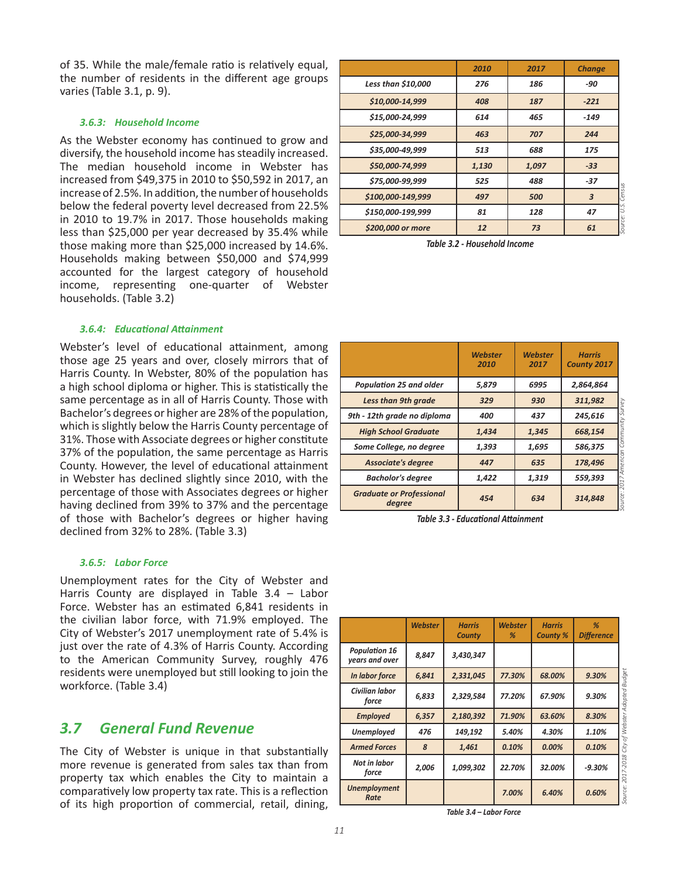of 35. While the male/female ratio is relatively equal, the number of residents in the different age groups varies (Table 3.1, p. 9).

#### *3.6.3: Household Income*

As the Webster economy has continued to grow and diversify, the household income has steadily increased. The median household income in Webster has increased from \$49,375 in 2010 to \$50,592 in 2017, an increase of 2.5%. In addition, the number of households below the federal poverty level decreased from 22.5% in 2010 to 19.7% in 2017. Those households making less than \$25,000 per year decreased by 35.4% while those making more than \$25,000 increased by 14.6%. Households making between \$50,000 and \$74,999 accounted for the largest category of household income, representing one-quarter of Webster households. (Table 3.2)

#### *3.6.4: Educational Attainment*

Webster's level of educational attainment, among those age 25 years and over, closely mirrors that of Harris County. In Webster, 80% of the population has a high school diploma or higher. This is statistically the same percentage as in all of Harris County. Those with Bachelor's degrees or higher are 28% of the population, which is slightly below the Harris County percentage of 31%. Those with Associate degrees or higher constitute 37% of the population, the same percentage as Harris County. However, the level of educational attainment in Webster has declined slightly since 2010, with the percentage of those with Associates degrees or higher having declined from 39% to 37% and the percentage of those with Bachelor's degrees or higher having declined from 32% to 28%. (Table 3.3)

### *3.6.5: Labor Force*

Unemployment rates for the City of Webster and Harris County are displayed in Table 3.4 – Labor Force. Webster has an estimated 6,841 residents in the civilian labor force, with 71.9% employed. The City of Webster's 2017 unemployment rate of 5.4% is just over the rate of 4.3% of Harris County. According to the American Community Survey, roughly 476 residents were unemployed but still looking to join the workforce. (Table 3.4)

## *3.7 General Fund Revenue*

The City of Webster is unique in that substantially more revenue is generated from sales tax than from property tax which enables the City to maintain a comparatively low property tax rate. This is a reflection of its high proportion of commercial, retail, dining,

|                    | 2010  | 2017  | <b>Change</b>            |
|--------------------|-------|-------|--------------------------|
| Less than \$10,000 | 276   | 186   | -90                      |
| \$10,000-14,999    | 408   | 187   | $-221$                   |
| \$15,000-24,999    | 614   | 465   | $-149$                   |
| \$25,000-34,999    | 463   | 707   | 244                      |
| \$35,000-49,999    | 513   | 688   | 175                      |
| \$50,000-74,999    | 1,130 | 1,097 | $-33$                    |
| \$75,000-99,999    | 525   | 488   | $-37$                    |
| \$100,000-149,999  | 497   | 500   | census<br>$\overline{3}$ |
| \$150,000-199,999  | 81    | 128   | 47                       |
| \$200,000 or more  | 12    | 73    | <b>ROS</b><br>61         |

*Table 3.2 - Household Income*

|                                           | <b>Webster</b><br>2010 | <b>Webster</b><br>2017 | <b>Harris</b><br>County 2017 |
|-------------------------------------------|------------------------|------------------------|------------------------------|
| Population 25 and older                   | 5.879                  | 6995                   | 2,864,864                    |
| <b>Less than 9th grade</b>                | 329                    | 930                    | 311,982<br>Survey            |
| 9th - 12th grade no diploma               | 400                    | 437                    | 245,616                      |
| <b>High School Graduate</b>               | 1,434                  | 1,345                  | Community<br>668,154         |
| Some College, no degree                   | 1,393                  | 1,695                  | 586,375                      |
| <b>Associate's degree</b>                 | 447                    | 635                    | American<br>178,496          |
| <b>Bacholor's degree</b>                  | 1,422                  | 1,319                  | 559,393<br>201               |
| <b>Graduate or Professional</b><br>degree | 454                    | 634                    | Source:<br>314,848           |

*Table 3.3 - Educational Attainment*

|                                        | <b>Webster</b> | <b>Harris</b><br>County | <b>Webster</b><br>% | <b>Harris</b><br><b>County %</b> | %<br><b>Difference</b> |
|----------------------------------------|----------------|-------------------------|---------------------|----------------------------------|------------------------|
| <b>Population 16</b><br>years and over | 8,847          | 3,430,347               |                     |                                  |                        |
| In labor force                         | 6,841          | 2,331,045               | 77.30%              | 68.00%                           | 9.30%                  |
| Civilian labor<br>force                | 6,833          | 2,329,584               | 77.20%              | 67.90%                           | 9.30%                  |
| <b>Employed</b>                        | 6,357          | 2,180,392               | 71.90%              | 63.60%                           | 8.30%                  |
| <b>Unemployed</b>                      | 476            | 149,192                 | 5.40%               | 4.30%                            | 1.10%                  |
| <b>Armed Forces</b>                    | 8              | 1,461                   | 0.10%               | 0.00%                            | 0.10%                  |
| Not in labor<br>force                  | 2,006          | 1,099,302               | 22.70%              | 32.00%                           | $-9.30%$               |
| <b>Unemployment</b><br>Rate            |                |                         | 7.00%               | 6.40%                            | 0.60%                  |

*Table 3.4 – Labor Force*